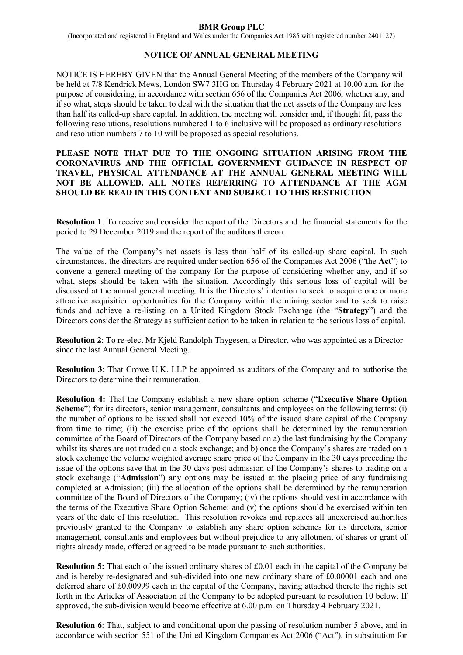## **BMR Group PLC**

(Incorporated and registered in England and Wales under the Companies Act 1985 with registered number 2401127)

# **NOTICE OF ANNUAL GENERAL MEETING**

NOTICE IS HEREBY GIVEN that the Annual General Meeting of the members of the Company will be held at 7/8 Kendrick Mews, London SW7 3HG on Thursday 4 February 2021 at 10.00 a.m. for the purpose of considering, in accordance with section 656 of the Companies Act 2006, whether any, and if so what, steps should be taken to deal with the situation that the net assets of the Company are less than half its called-up share capital. In addition, the meeting will consider and, if thought fit, pass the following resolutions, resolutions numbered 1 to 6 inclusive will be proposed as ordinary resolutions and resolution numbers 7 to 10 will be proposed as special resolutions.

## **PLEASE NOTE THAT DUE TO THE ONGOING SITUATION ARISING FROM THE CORONAVIRUS AND THE OFFICIAL GOVERNMENT GUIDANCE IN RESPECT OF TRAVEL, PHYSICAL ATTENDANCE AT THE ANNUAL GENERAL MEETING WILL NOT BE ALLOWED. ALL NOTES REFERRING TO ATTENDANCE AT THE AGM SHOULD BE READ IN THIS CONTEXT AND SUBJECT TO THIS RESTRICTION**

**Resolution 1**: To receive and consider the report of the Directors and the financial statements for the period to 29 December 2019 and the report of the auditors thereon.

The value of the Company's net assets is less than half of its called-up share capital. In such circumstances, the directors are required under section 656 of the Companies Act 2006 ("the **Act**") to convene a general meeting of the company for the purpose of considering whether any, and if so what, steps should be taken with the situation. Accordingly this serious loss of capital will be discussed at the annual general meeting. It is the Directors' intention to seek to acquire one or more attractive acquisition opportunities for the Company within the mining sector and to seek to raise funds and achieve a re-listing on a United Kingdom Stock Exchange (the "**Strategy**") and the Directors consider the Strategy as sufficient action to be taken in relation to the serious loss of capital.

**Resolution 2**: To re-elect Mr Kjeld Randolph Thygesen, a Director, who was appointed as a Director since the last Annual General Meeting.

**Resolution 3**: That Crowe U.K. LLP be appointed as auditors of the Company and to authorise the Directors to determine their remuneration.

**Resolution 4:** That the Company establish a new share option scheme ("**Executive Share Option Scheme**") for its directors, senior management, consultants and employees on the following terms: (i) the number of options to be issued shall not exceed 10% of the issued share capital of the Company from time to time; (ii) the exercise price of the options shall be determined by the remuneration committee of the Board of Directors of the Company based on a) the last fundraising by the Company whilst its shares are not traded on a stock exchange; and b) once the Company's shares are traded on a stock exchange the volume weighted average share price of the Company in the 30 days preceding the issue of the options save that in the 30 days post admission of the Company's shares to trading on a stock exchange ("**Admission**") any options may be issued at the placing price of any fundraising completed at Admission; (iii) the allocation of the options shall be determined by the remuneration committee of the Board of Directors of the Company; (iv) the options should vest in accordance with the terms of the Executive Share Option Scheme; and (v) the options should be exercised within ten years of the date of this resolution. This resolution revokes and replaces all unexercised authorities previously granted to the Company to establish any share option schemes for its directors, senior management, consultants and employees but without prejudice to any allotment of shares or grant of rights already made, offered or agreed to be made pursuant to such authorities.

**Resolution 5:** That each of the issued ordinary shares of £0.01 each in the capital of the Company be and is hereby re-designated and sub-divided into one new ordinary share of £0.00001 each and one deferred share of £0.00999 each in the capital of the Company, having attached thereto the rights set forth in the Articles of Association of the Company to be adopted pursuant to resolution 10 below. If approved, the sub-division would become effective at 6.00 p.m. on Thursday 4 February 2021.

**Resolution 6**: That, subject to and conditional upon the passing of resolution number 5 above, and in accordance with section 551 of the United Kingdom Companies Act 2006 ("Act"), in substitution for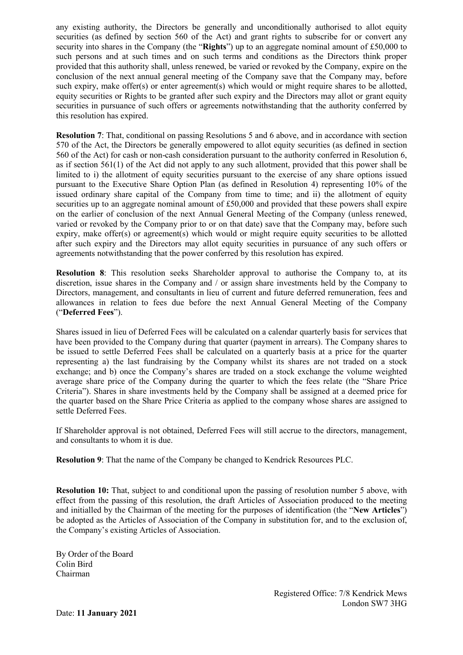any existing authority, the Directors be generally and unconditionally authorised to allot equity securities (as defined by section 560 of the Act) and grant rights to subscribe for or convert any security into shares in the Company (the "**Rights**") up to an aggregate nominal amount of £50,000 to such persons and at such times and on such terms and conditions as the Directors think proper provided that this authority shall, unless renewed, be varied or revoked by the Company, expire on the conclusion of the next annual general meeting of the Company save that the Company may, before such expiry, make offer(s) or enter agreement(s) which would or might require shares to be allotted, equity securities or Rights to be granted after such expiry and the Directors may allot or grant equity securities in pursuance of such offers or agreements notwithstanding that the authority conferred by this resolution has expired.

**Resolution 7**: That, conditional on passing Resolutions 5 and 6 above, and in accordance with section 570 of the Act, the Directors be generally empowered to allot equity securities (as defined in section 560 of the Act) for cash or non-cash consideration pursuant to the authority conferred in Resolution 6, as if section 561(1) of the Act did not apply to any such allotment, provided that this power shall be limited to i) the allotment of equity securities pursuant to the exercise of any share options issued pursuant to the Executive Share Option Plan (as defined in Resolution 4) representing 10% of the issued ordinary share capital of the Company from time to time; and ii) the allotment of equity securities up to an aggregate nominal amount of £50,000 and provided that these powers shall expire on the earlier of conclusion of the next Annual General Meeting of the Company (unless renewed, varied or revoked by the Company prior to or on that date) save that the Company may, before such expiry, make offer(s) or agreement(s) which would or might require equity securities to be allotted after such expiry and the Directors may allot equity securities in pursuance of any such offers or agreements notwithstanding that the power conferred by this resolution has expired.

**Resolution 8**: This resolution seeks Shareholder approval to authorise the Company to, at its discretion, issue shares in the Company and / or assign share investments held by the Company to Directors, management, and consultants in lieu of current and future deferred remuneration, fees and allowances in relation to fees due before the next Annual General Meeting of the Company ("**Deferred Fees**").

Shares issued in lieu of Deferred Fees will be calculated on a calendar quarterly basis for services that have been provided to the Company during that quarter (payment in arrears). The Company shares to be issued to settle Deferred Fees shall be calculated on a quarterly basis at a price for the quarter representing a) the last fundraising by the Company whilst its shares are not traded on a stock exchange; and b) once the Company's shares are traded on a stock exchange the volume weighted average share price of the Company during the quarter to which the fees relate (the "Share Price Criteria"). Shares in share investments held by the Company shall be assigned at a deemed price for the quarter based on the Share Price Criteria as applied to the company whose shares are assigned to settle Deferred Fees.

If Shareholder approval is not obtained, Deferred Fees will still accrue to the directors, management, and consultants to whom it is due.

**Resolution 9**: That the name of the Company be changed to Kendrick Resources PLC.

**Resolution 10:** That, subject to and conditional upon the passing of resolution number 5 above, with effect from the passing of this resolution, the draft Articles of Association produced to the meeting and initialled by the Chairman of the meeting for the purposes of identification (the "**New Articles**") be adopted as the Articles of Association of the Company in substitution for, and to the exclusion of, the Company's existing Articles of Association.

By Order of the Board Colin Bird Chairman